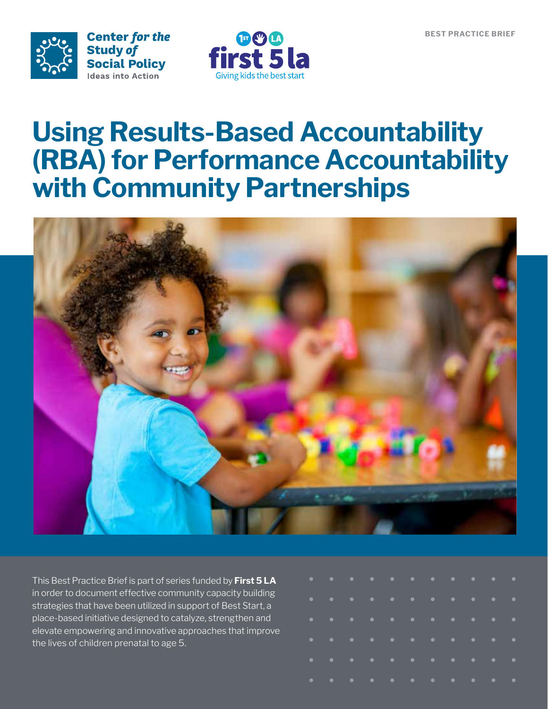



### **Using Results-Based Accountability (RBA) for Performance Accountability with Community Partnerships**



This Best Practice Brief is part of series funded by **First 5 LA** in order to document effective community capacity building strategies that have been utilized in support of Best Start, a place-based initiative designed to catalyze, strengthen and elevate empowering and innovative approaches that improve the lives of children prenatal to age 5.

| . |  |  |   |  |  |                           |
|---|--|--|---|--|--|---------------------------|
| . |  |  |   |  |  |                           |
|   |  |  | . |  |  |                           |
| . |  |  |   |  |  | $\mathcal{L}(\mathbf{C})$ |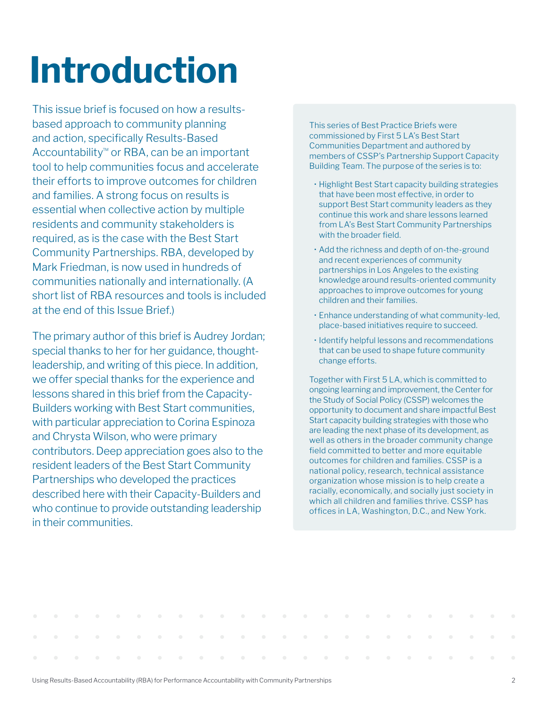# **Introduction**

This issue brief is focused on how a resultsbased approach to community planning and action, specifically Results-Based Accountability™ or RBA, can be an important tool to help communities focus and accelerate their efforts to improve outcomes for children and families. A strong focus on results is essential when collective action by multiple residents and community stakeholders is required, as is the case with the Best Start Community Partnerships. RBA, developed by Mark Friedman, is now used in hundreds of communities nationally and internationally. (A short list of RBA resources and tools is included at the end of this Issue Brief.)

The primary author of this brief is Audrey Jordan; special thanks to her for her guidance, thoughtleadership, and writing of this piece. In addition, we offer special thanks for the experience and lessons shared in this brief from the Capacity-Builders working with Best Start communities, with particular appreciation to Corina Espinoza and Chrysta Wilson, who were primary contributors. Deep appreciation goes also to the resident leaders of the Best Start Community Partnerships who developed the practices described here with their Capacity-Builders and who continue to provide outstanding leadership in their communities.

This series of Best Practice Briefs were commissioned by First 5 LA's Best Start Communities Department and authored by members of CSSP's Partnership Support Capacity Building Team. The purpose of the series is to:

- Highlight Best Start capacity building strategies that have been most effective, in order to support Best Start community leaders as they continue this work and share lessons learned from LA's Best Start Community Partnerships with the broader field.
- Add the richness and depth of on-the-ground and recent experiences of community partnerships in Los Angeles to the existing knowledge around results-oriented community approaches to improve outcomes for young children and their families.
- Enhance understanding of what community-led, place-based initiatives require to succeed.
- Identify helpful lessons and recommendations that can be used to shape future community change efforts.

Together with First 5 LA, which is committed to ongoing learning and improvement, the Center for the Study of Social Policy (CSSP) welcomes the opportunity to document and share impactful Best Start capacity building strategies with those who are leading the next phase of its development, as well as others in the broader community change field committed to better and more equitable outcomes for children and families. CSSP is a national policy, research, technical assistance organization whose mission is to help create a racially, economically, and socially just society in which all children and families thrive. CSSP has offices in LA, Washington, D.C., and New York.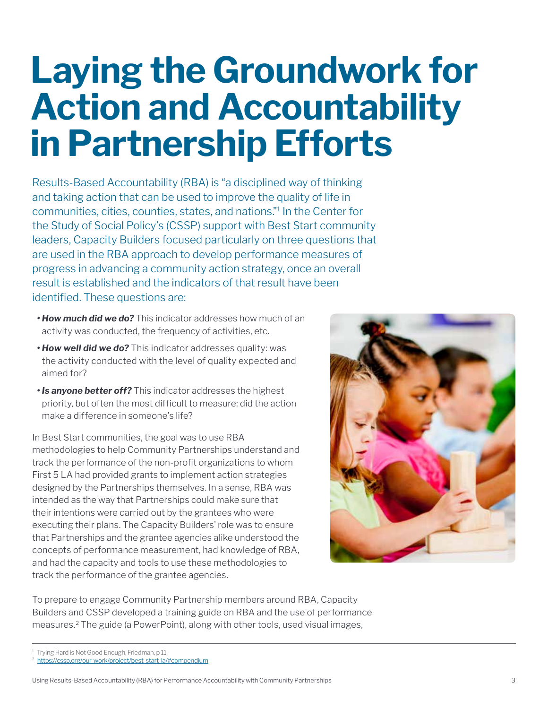### **Laying the Groundwork for Action and Accountability in Partnership Efforts**

Results-Based Accountability (RBA) is "a disciplined way of thinking and taking action that can be used to improve the quality of life in communities, cities, counties, states, and nations."1 In the Center for the Study of Social Policy's (CSSP) support with Best Start community leaders, Capacity Builders focused particularly on three questions that are used in the RBA approach to develop performance measures of progress in advancing a community action strategy, once an overall result is established and the indicators of that result have been identified. These questions are:

- *• How much did we do?* This indicator addresses how much of an activity was conducted, the frequency of activities, etc.
- *• How well did we do?* This indicator addresses quality: was the activity conducted with the level of quality expected and aimed for?
- *• Is anyone better off?* This indicator addresses the highest priority, but often the most difficult to measure: did the action make a difference in someone's life?

In Best Start communities, the goal was to use RBA methodologies to help Community Partnerships understand and track the performance of the non-profit organizations to whom First 5 LA had provided grants to implement action strategies designed by the Partnerships themselves. In a sense, RBA was intended as the way that Partnerships could make sure that their intentions were carried out by the grantees who were executing their plans. The Capacity Builders' role was to ensure that Partnerships and the grantee agencies alike understood the concepts of performance measurement, had knowledge of RBA, and had the capacity and tools to use these methodologies to track the performance of the grantee agencies.



To prepare to engage Community Partnership members around RBA, Capacity Builders and CSSP developed a training guide on RBA and the use of performance measures.2 The guide (a PowerPoint), along with other tools, used visual images,

<sup>1</sup> Trying Hard is Not Good Enough, Friedman, p 11.

<sup>2</sup> <https://cssp.org/our-work/project/best-start-la/#compendium>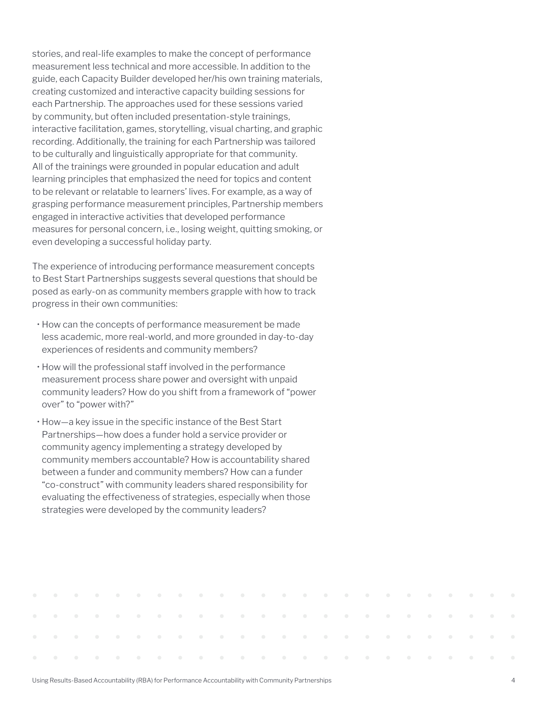stories, and real-life examples to make the concept of performance measurement less technical and more accessible. In addition to the guide, each Capacity Builder developed her/his own training materials, creating customized and interactive capacity building sessions for each Partnership. The approaches used for these sessions varied by community, but often included presentation-style trainings, interactive facilitation, games, storytelling, visual charting, and graphic recording. Additionally, the training for each Partnership was tailored to be culturally and linguistically appropriate for that community. All of the trainings were grounded in popular education and adult learning principles that emphasized the need for topics and content to be relevant or relatable to learners' lives. For example, as a way of grasping performance measurement principles, Partnership members engaged in interactive activities that developed performance measures for personal concern, i.e., losing weight, quitting smoking, or even developing a successful holiday party.

The experience of introducing performance measurement concepts to Best Start Partnerships suggests several questions that should be posed as early-on as community members grapple with how to track progress in their own communities:

- How can the concepts of performance measurement be made less academic, more real-world, and more grounded in day-to-day experiences of residents and community members?
- How will the professional staff involved in the performance measurement process share power and oversight with unpaid community leaders? How do you shift from a framework of "power over" to "power with?"
- How—a key issue in the specific instance of the Best Start Partnerships—how does a funder hold a service provider or community agency implementing a strategy developed by community members accountable? How is accountability shared between a funder and community members? How can a funder "co-construct" with community leaders shared responsibility for evaluating the effectiveness of strategies, especially when those strategies were developed by the community leaders?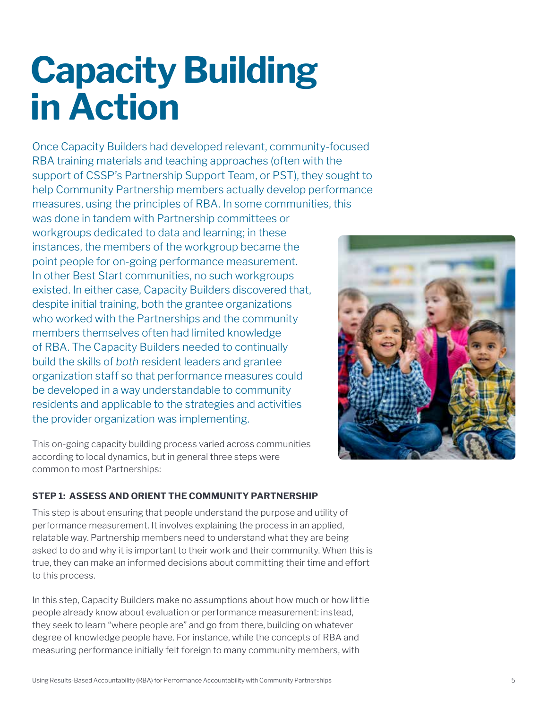# **Capacity Building in Action**

Once Capacity Builders had developed relevant, community-focused RBA training materials and teaching approaches (often with the support of CSSP's Partnership Support Team, or PST), they sought to help Community Partnership members actually develop performance measures, using the principles of RBA. In some communities, this

was done in tandem with Partnership committees or workgroups dedicated to data and learning; in these instances, the members of the workgroup became the point people for on-going performance measurement. In other Best Start communities, no such workgroups existed. In either case, Capacity Builders discovered that, despite initial training, both the grantee organizations who worked with the Partnerships and the community members themselves often had limited knowledge of RBA. The Capacity Builders needed to continually build the skills of *both* resident leaders and grantee organization staff so that performance measures could be developed in a way understandable to community residents and applicable to the strategies and activities the provider organization was implementing.



This on-going capacity building process varied across communities according to local dynamics, but in general three steps were common to most Partnerships:

#### **STEP 1: ASSESS AND ORIENT THE COMMUNITY PARTNERSHIP**

This step is about ensuring that people understand the purpose and utility of performance measurement. It involves explaining the process in an applied, relatable way. Partnership members need to understand what they are being asked to do and why it is important to their work and their community. When this is true, they can make an informed decisions about committing their time and effort to this process.

In this step, Capacity Builders make no assumptions about how much or how little people already know about evaluation or performance measurement: instead, they seek to learn "where people are" and go from there, building on whatever degree of knowledge people have. For instance, while the concepts of RBA and measuring performance initially felt foreign to many community members, with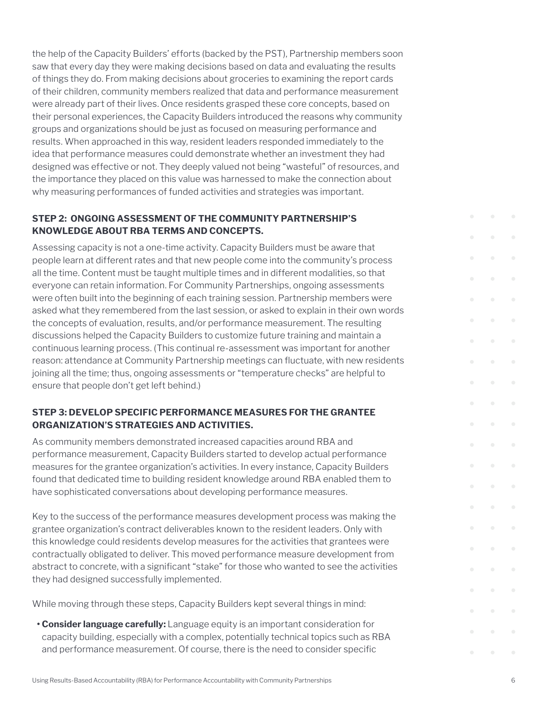the help of the Capacity Builders' efforts (backed by the PST), Partnership members soon saw that every day they were making decisions based on data and evaluating the results of things they do. From making decisions about groceries to examining the report cards of their children, community members realized that data and performance measurement were already part of their lives. Once residents grasped these core concepts, based on their personal experiences, the Capacity Builders introduced the reasons why community groups and organizations should be just as focused on measuring performance and results. When approached in this way, resident leaders responded immediately to the idea that performance measures could demonstrate whether an investment they had designed was effective or not. They deeply valued not being "wasteful" of resources, and the importance they placed on this value was harnessed to make the connection about why measuring performances of funded activities and strategies was important.

#### **STEP 2: ONGOING ASSESSMENT OF THE COMMUNITY PARTNERSHIP'S KNOWLEDGE ABOUT RBA TERMS AND CONCEPTS.**

Assessing capacity is not a one-time activity. Capacity Builders must be aware that people learn at different rates and that new people come into the community's process all the time. Content must be taught multiple times and in different modalities, so that everyone can retain information. For Community Partnerships, ongoing assessments were often built into the beginning of each training session. Partnership members were asked what they remembered from the last session, or asked to explain in their own words the concepts of evaluation, results, and/or performance measurement. The resulting discussions helped the Capacity Builders to customize future training and maintain a continuous learning process. (This continual re-assessment was important for another reason: attendance at Community Partnership meetings can fluctuate, with new residents joining all the time; thus, ongoing assessments or "temperature checks" are helpful to ensure that people don't get left behind.)

#### **STEP 3: DEVELOP SPECIFIC PERFORMANCE MEASURES FOR THE GRANTEE ORGANIZATION'S STRATEGIES AND ACTIVITIES.**

As community members demonstrated increased capacities around RBA and performance measurement, Capacity Builders started to develop actual performance measures for the grantee organization's activities. In every instance, Capacity Builders found that dedicated time to building resident knowledge around RBA enabled them to have sophisticated conversations about developing performance measures.

Key to the success of the performance measures development process was making the grantee organization's contract deliverables known to the resident leaders. Only with this knowledge could residents develop measures for the activities that grantees were contractually obligated to deliver. This moved performance measure development from abstract to concrete, with a significant "stake" for those who wanted to see the activities they had designed successfully implemented.

While moving through these steps, Capacity Builders kept several things in mind:

**• Consider language carefully:** Language equity is an important consideration for capacity building, especially with a complex, potentially technical topics such as RBA and performance measurement. Of course, there is the need to consider specific

 $\bullet$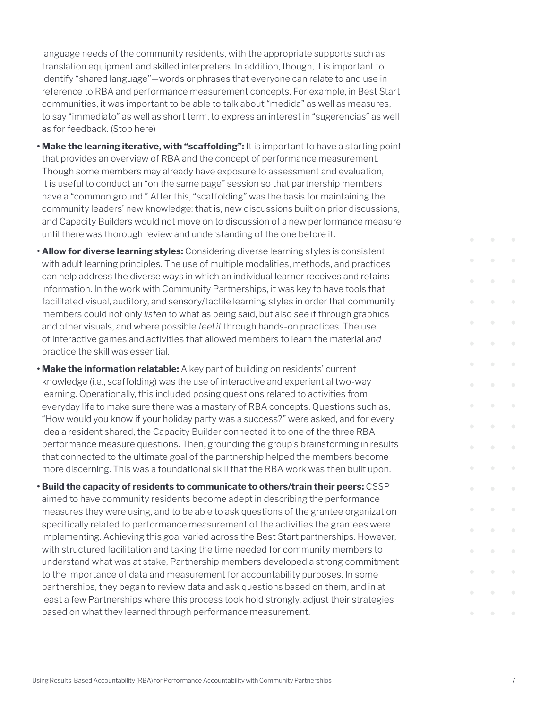language needs of the community residents, with the appropriate supports such as translation equipment and skilled interpreters. In addition, though, it is important to identify "shared language"—words or phrases that everyone can relate to and use in reference to RBA and performance measurement concepts. For example, in Best Start communities, it was important to be able to talk about "medida" as well as measures, to say "immediato" as well as short term, to express an interest in "sugerencias" as well as for feedback. (Stop here)

- **• Make the learning iterative, with "scaffolding":** It is important to have a starting point that provides an overview of RBA and the concept of performance measurement. Though some members may already have exposure to assessment and evaluation, it is useful to conduct an "on the same page" session so that partnership members have a "common ground." After this, "scaffolding" was the basis for maintaining the community leaders' new knowledge: that is, new discussions built on prior discussions, and Capacity Builders would not move on to discussion of a new performance measure until there was thorough review and understanding of the one before it.
- **• Allow for diverse learning styles:** Considering diverse learning styles is consistent with adult learning principles. The use of multiple modalities, methods, and practices can help address the diverse ways in which an individual learner receives and retains information. In the work with Community Partnerships, it was key to have tools that facilitated visual, auditory, and sensory/tactile learning styles in order that community members could not only *listen* to what as being said, but also *see* it through graphics and other visuals, and where possible *feel it* through hands-on practices. The use of interactive games and activities that allowed members to learn the material *and* practice the skill was essential.
- **• Make the information relatable:** A key part of building on residents' current knowledge (i.e., scaffolding) was the use of interactive and experiential two-way learning. Operationally, this included posing questions related to activities from everyday life to make sure there was a mastery of RBA concepts. Questions such as, "How would you know if your holiday party was a success?" were asked, and for every idea a resident shared, the Capacity Builder connected it to one of the three RBA performance measure questions. Then, grounding the group's brainstorming in results that connected to the ultimate goal of the partnership helped the members become more discerning. This was a foundational skill that the RBA work was then built upon.
- **• Build the capacity of residents to communicate to others/train their peers:** CSSP aimed to have community residents become adept in describing the performance measures they were using, and to be able to ask questions of the grantee organization specifically related to performance measurement of the activities the grantees were implementing. Achieving this goal varied across the Best Start partnerships. However, with structured facilitation and taking the time needed for community members to understand what was at stake, Partnership members developed a strong commitment to the importance of data and measurement for accountability purposes. In some partnerships, they began to review data and ask questions based on them, and in at least a few Partnerships where this process took hold strongly, adjust their strategies based on what they learned through performance measurement.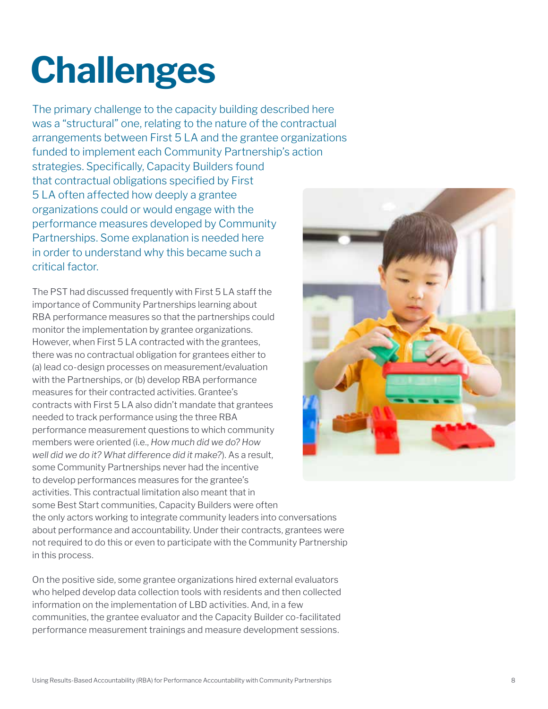# **Challenges**

The primary challenge to the capacity building described here was a "structural" one, relating to the nature of the contractual arrangements between First 5 LA and the grantee organizations funded to implement each Community Partnership's action strategies. Specifically, Capacity Builders found that contractual obligations specified by First 5 LA often affected how deeply a grantee organizations could or would engage with the performance measures developed by Community Partnerships. Some explanation is needed here in order to understand why this became such a critical factor.

The PST had discussed frequently with First 5 LA staff the importance of Community Partnerships learning about RBA performance measures so that the partnerships could monitor the implementation by grantee organizations. However, when First 5 LA contracted with the grantees, there was no contractual obligation for grantees either to (a) lead co-design processes on measurement/evaluation with the Partnerships, or (b) develop RBA performance measures for their contracted activities. Grantee's contracts with First 5 LA also didn't mandate that grantees needed to track performance using the three RBA performance measurement questions to which community members were oriented (i.e., *How much did we do? How well did we do it? What difference did it make?*). As a result, some Community Partnerships never had the incentive to develop performances measures for the grantee's activities. This contractual limitation also meant that in some Best Start communities, Capacity Builders were often the only actors working to integrate community leaders into conversations about performance and accountability. Under their contracts, grantees were not required to do this or even to participate with the Community Partnership in this process.

On the positive side, some grantee organizations hired external evaluators who helped develop data collection tools with residents and then collected information on the implementation of LBD activities. And, in a few communities, the grantee evaluator and the Capacity Builder co-facilitated performance measurement trainings and measure development sessions.

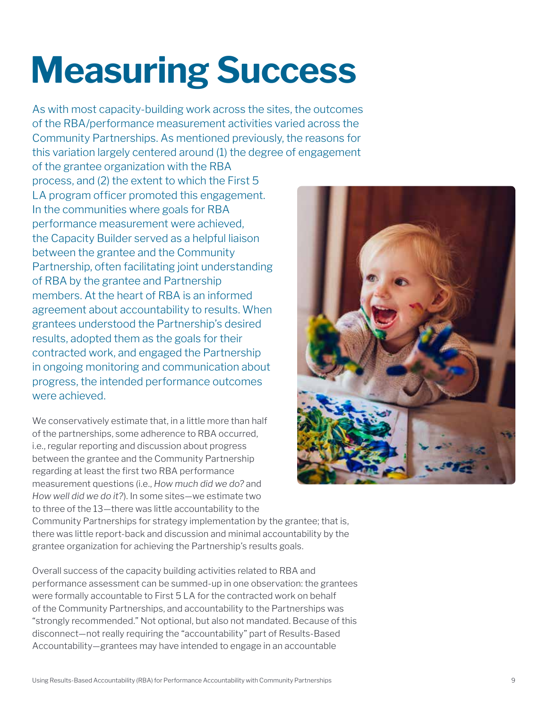# **Measuring Success**

As with most capacity-building work across the sites, the outcomes of the RBA/performance measurement activities varied across the Community Partnerships. As mentioned previously, the reasons for this variation largely centered around (1) the degree of engagement

of the grantee organization with the RBA process, and (2) the extent to which the First 5 LA program officer promoted this engagement. In the communities where goals for RBA performance measurement were achieved, the Capacity Builder served as a helpful liaison between the grantee and the Community Partnership, often facilitating joint understanding of RBA by the grantee and Partnership members. At the heart of RBA is an informed agreement about accountability to results. When grantees understood the Partnership's desired results, adopted them as the goals for their contracted work, and engaged the Partnership in ongoing monitoring and communication about progress, the intended performance outcomes were achieved.

We conservatively estimate that, in a little more than half of the partnerships, some adherence to RBA occurred, i.e., regular reporting and discussion about progress between the grantee and the Community Partnership regarding at least the first two RBA performance measurement questions (i.e., *How much did we do?* and *How well did we do it?*). In some sites—we estimate two to three of the 13—there was little accountability to the



Community Partnerships for strategy implementation by the grantee; that is, there was little report-back and discussion and minimal accountability by the grantee organization for achieving the Partnership's results goals.

Overall success of the capacity building activities related to RBA and performance assessment can be summed-up in one observation: the grantees were formally accountable to First 5 LA for the contracted work on behalf of the Community Partnerships, and accountability to the Partnerships was "strongly recommended." Not optional, but also not mandated. Because of this disconnect—not really requiring the "accountability" part of Results-Based Accountability—grantees may have intended to engage in an accountable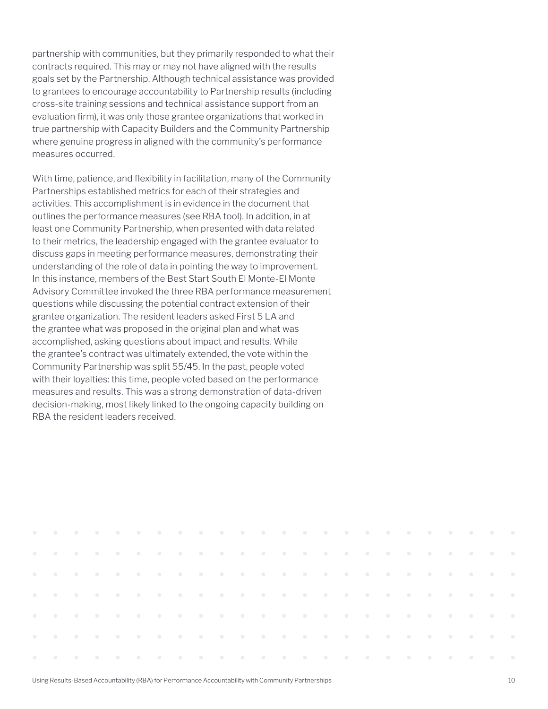partnership with communities, but they primarily responded to what their contracts required. This may or may not have aligned with the results goals set by the Partnership. Although technical assistance was provided to grantees to encourage accountability to Partnership results (including cross-site training sessions and technical assistance support from an evaluation firm), it was only those grantee organizations that worked in true partnership with Capacity Builders and the Community Partnership where genuine progress in aligned with the community's performance measures occurred.

With time, patience, and flexibility in facilitation, many of the Community Partnerships established metrics for each of their strategies and activities. This accomplishment is in evidence in the document that outlines the performance measures (see RBA tool). In addition, in at least one Community Partnership, when presented with data related to their metrics, the leadership engaged with the grantee evaluator to discuss gaps in meeting performance measures, demonstrating their understanding of the role of data in pointing the way to improvement. In this instance, members of the Best Start South El Monte-El Monte Advisory Committee invoked the three RBA performance measurement questions while discussing the potential contract extension of their grantee organization. The resident leaders asked First 5 LA and the grantee what was proposed in the original plan and what was accomplished, asking questions about impact and results. While the grantee's contract was ultimately extended, the vote within the Community Partnership was split 55/45. In the past, people voted with their loyalties: this time, people voted based on the performance measures and results. This was a strong demonstration of data-driven decision-making, most likely linked to the ongoing capacity building on RBA the resident leaders received.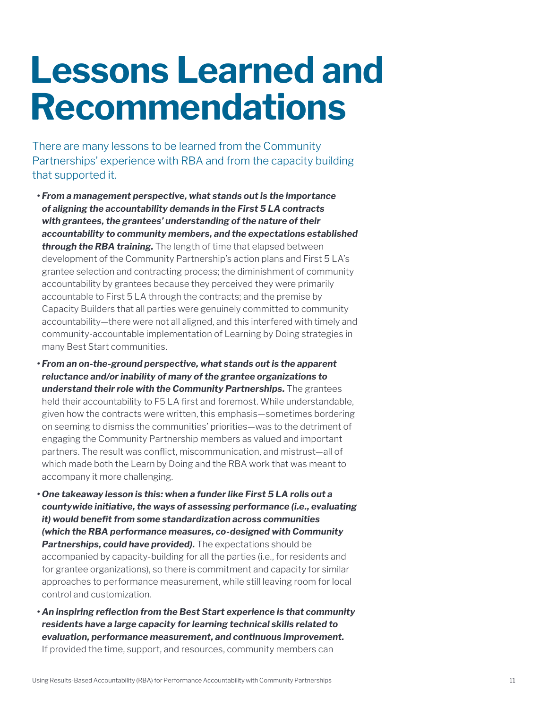### **Lessons Learned and Recommendations**

There are many lessons to be learned from the Community Partnerships' experience with RBA and from the capacity building that supported it.

- *• From a management perspective, what stands out is the importance of aligning the accountability demands in the First 5 LA contracts with grantees, the grantees' understanding of the nature of their accountability to community members, and the expectations established through the RBA training.* The length of time that elapsed between development of the Community Partnership's action plans and First 5 LA's grantee selection and contracting process; the diminishment of community accountability by grantees because they perceived they were primarily accountable to First 5 LA through the contracts; and the premise by Capacity Builders that all parties were genuinely committed to community accountability—there were not all aligned, and this interfered with timely and community-accountable implementation of Learning by Doing strategies in many Best Start communities.
- *• From an on-the-ground perspective, what stands out is the apparent reluctance and/or inability of many of the grantee organizations to understand their role with the Community Partnerships.* The grantees held their accountability to F5 LA first and foremost. While understandable, given how the contracts were written, this emphasis—sometimes bordering on seeming to dismiss the communities' priorities—was to the detriment of engaging the Community Partnership members as valued and important partners. The result was conflict, miscommunication, and mistrust—all of which made both the Learn by Doing and the RBA work that was meant to accompany it more challenging.
- *• One takeaway lesson is this: when a funder like First 5 LA rolls out a countywide initiative, the ways of assessing performance (i.e., evaluating it) would benefit from some standardization across communities (which the RBA performance measures, co-designed with Community Partnerships, could have provided).* The expectations should be accompanied by capacity-building for all the parties (i.e., for residents and for grantee organizations), so there is commitment and capacity for similar approaches to performance measurement, while still leaving room for local control and customization.
- *• An inspiring reflection from the Best Start experience is that community residents have a large capacity for learning technical skills related to evaluation, performance measurement, and continuous improvement.* If provided the time, support, and resources, community members can

Using Results-Based Accountability (RBA) for Performance Accountability with Community Partnerships 11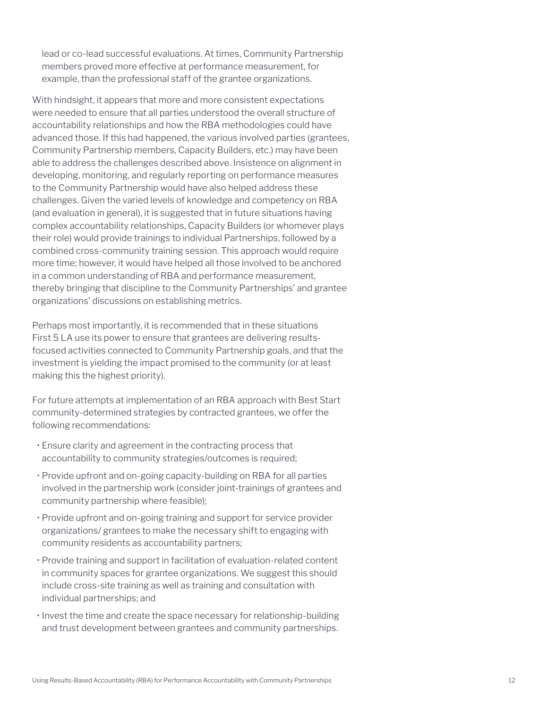lead or co-lead successful evaluations. At times, Community Partnership members proved more effective at performance measurement, for example, than the professional staff of the grantee organizations.

With hindsight, it appears that more and more consistent expectations were needed to ensure that all parties understood the overall structure of accountability relationships and how the RBA methodologies could have advanced those. If this had happened, the various involved parties (grantees, Community Partnership members, Capacity Builders, etc.) may have been able to address the challenges described above. Insistence on alignment in developing, monitoring, and regularly reporting on performance measures to the Community Partnership would have also helped address these challenges. Given the varied levels of knowledge and competency on RBA (and evaluation in general), it is suggested that in future situations having complex accountability relationships, Capacity Builders (or whomever plays their role) would provide trainings to individual Partnerships, followed by a combined cross-community training session. This approach would require more time; however, it would have helped all those involved to be anchored in a common understanding of RBA and performance measurement, thereby bringing that discipline to the Community Partnerships' and grantee organizations' discussions on establishing metrics.

Perhaps most importantly, it is recommended that in these situations First 5 LA use its power to ensure that grantees are delivering resultsfocused activities connected to Community Partnership goals, and that the investment is yielding the impact promised to the community (or at least making this the highest priority).

For future attempts at implementation of an RBA approach with Best Start community-determined strategies by contracted grantees, we offer the following recommendations:

- Ensure clarity and agreement in the contracting process that accountability to community strategies/outcomes is required;
- Provide upfront and on-going capacity-building on RBA for all parties involved in the partnership work (consider joint-trainings of grantees and community partnership where feasible);
- Provide upfront and on-going training and support for service provider organizations/ grantees to make the necessary shift to engaging with community residents as accountability partners;
- Provide training and support in facilitation of evaluation-related content in community spaces for grantee organizations. We suggest this should include cross-site training as well as training and consultation with individual partnerships; and
- Invest the time and create the space necessary for relationship-building and trust development between grantees and community partnerships.